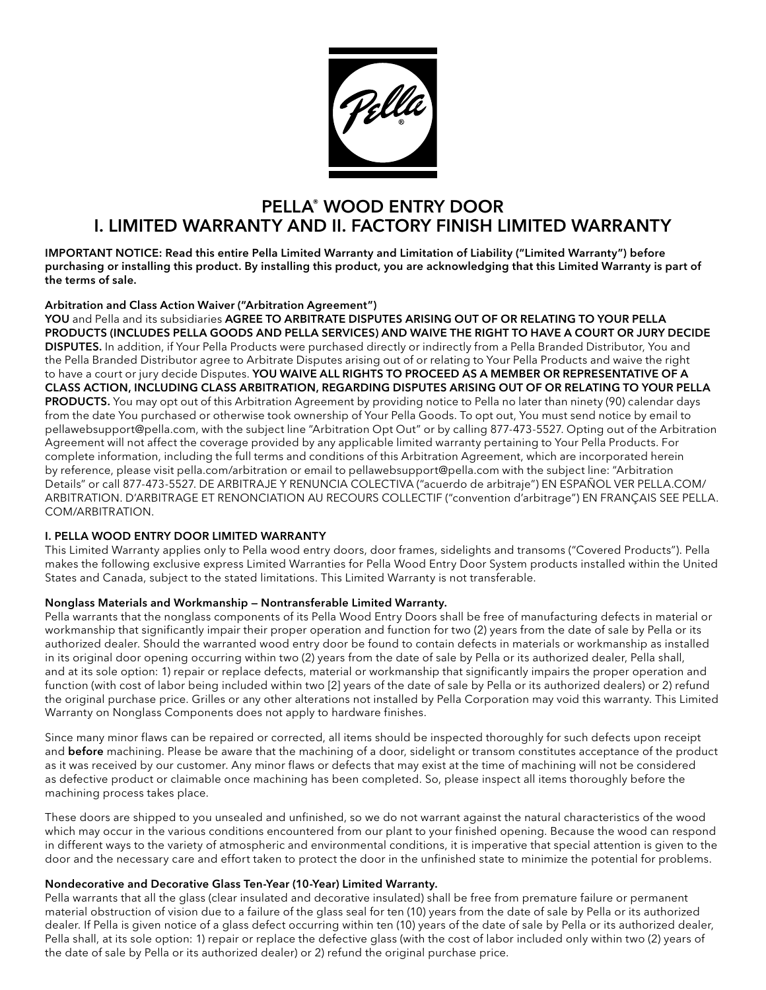

# PELLA® WOOD ENTRY DOOR I. LIMITED WARRANTY AND II. FACTORY FINISH LIMITED WARRANTY

IMPORTANT NOTICE: Read this entire Pella Limited Warranty and Limitation of Liability ("Limited Warranty") before purchasing or installing this product. By installing this product, you are acknowledging that this Limited Warranty is part of the terms of sale.

# Arbitration and Class Action Waiver ("Arbitration Agreement")

YOU and Pella and its subsidiaries AGREE TO ARBITRATE DISPUTES ARISING OUT OF OR RELATING TO YOUR PELLA PRODUCTS (INCLUDES PELLA GOODS AND PELLA SERVICES) AND WAIVE THE RIGHT TO HAVE A COURT OR JURY DECIDE DISPUTES. In addition, if Your Pella Products were purchased directly or indirectly from a Pella Branded Distributor, You and the Pella Branded Distributor agree to Arbitrate Disputes arising out of or relating to Your Pella Products and waive the right to have a court or jury decide Disputes. YOU WAIVE ALL RIGHTS TO PROCEED AS A MEMBER OR REPRESENTATIVE OF A CLASS ACTION, INCLUDING CLASS ARBITRATION, REGARDING DISPUTES ARISING OUT OF OR RELATING TO YOUR PELLA PRODUCTS. You may opt out of this Arbitration Agreement by providing notice to Pella no later than ninety (90) calendar days from the date You purchased or otherwise took ownership of Your Pella Goods. To opt out, You must send notice by email to pellawebsupport@pella.com, with the subject line "Arbitration Opt Out" or by calling 877-473-5527. Opting out of the Arbitration Agreement will not affect the coverage provided by any applicable limited warranty pertaining to Your Pella Products. For complete information, including the full terms and conditions of this Arbitration Agreement, which are incorporated herein by reference, please visit pella.com/arbitration or email to pellawebsupport@pella.com with the subject line: "Arbitration Details" or call 877-473-5527. DE ARBITRAJE Y RENUNCIA COLECTIVA ("acuerdo de arbitraje") EN ESPAÑOL VER PELLA.COM/ ARBITRATION. D'ARBITRAGE ET RENONCIATION AU RECOURS COLLECTIF ("convention d'arbitrage") EN FRANÇAIS SEE PELLA. COM/ARBITRATION.

### I. PELLA WOOD ENTRY DOOR LIMITED WARRANTY

This Limited Warranty applies only to Pella wood entry doors, door frames, sidelights and transoms ("Covered Products"). Pella makes the following exclusive express Limited Warranties for Pella Wood Entry Door System products installed within the United States and Canada, subject to the stated limitations. This Limited Warranty is not transferable.

### Nonglass Materials and Workmanship — Nontransferable Limited Warranty.

Pella warrants that the nonglass components of its Pella Wood Entry Doors shall be free of manufacturing defects in material or workmanship that significantly impair their proper operation and function for two (2) years from the date of sale by Pella or its authorized dealer. Should the warranted wood entry door be found to contain defects in materials or workmanship as installed in its original door opening occurring within two (2) years from the date of sale by Pella or its authorized dealer, Pella shall, and at its sole option: 1) repair or replace defects, material or workmanship that significantly impairs the proper operation and function (with cost of labor being included within two [2] years of the date of sale by Pella or its authorized dealers) or 2) refund the original purchase price. Grilles or any other alterations not installed by Pella Corporation may void this warranty. This Limited Warranty on Nonglass Components does not apply to hardware finishes.

Since many minor flaws can be repaired or corrected, all items should be inspected thoroughly for such defects upon receipt and before machining. Please be aware that the machining of a door, sidelight or transom constitutes acceptance of the product as it was received by our customer. Any minor flaws or defects that may exist at the time of machining will not be considered as defective product or claimable once machining has been completed. So, please inspect all items thoroughly before the machining process takes place.

These doors are shipped to you unsealed and unfinished, so we do not warrant against the natural characteristics of the wood which may occur in the various conditions encountered from our plant to your finished opening. Because the wood can respond in different ways to the variety of atmospheric and environmental conditions, it is imperative that special attention is given to the door and the necessary care and effort taken to protect the door in the unfinished state to minimize the potential for problems.

### Nondecorative and Decorative Glass Ten-Year (10-Year) Limited Warranty.

Pella warrants that all the glass (clear insulated and decorative insulated) shall be free from premature failure or permanent material obstruction of vision due to a failure of the glass seal for ten (10) years from the date of sale by Pella or its authorized dealer. If Pella is given notice of a glass defect occurring within ten (10) years of the date of sale by Pella or its authorized dealer, Pella shall, at its sole option: 1) repair or replace the defective glass (with the cost of labor included only within two (2) years of the date of sale by Pella or its authorized dealer) or 2) refund the original purchase price.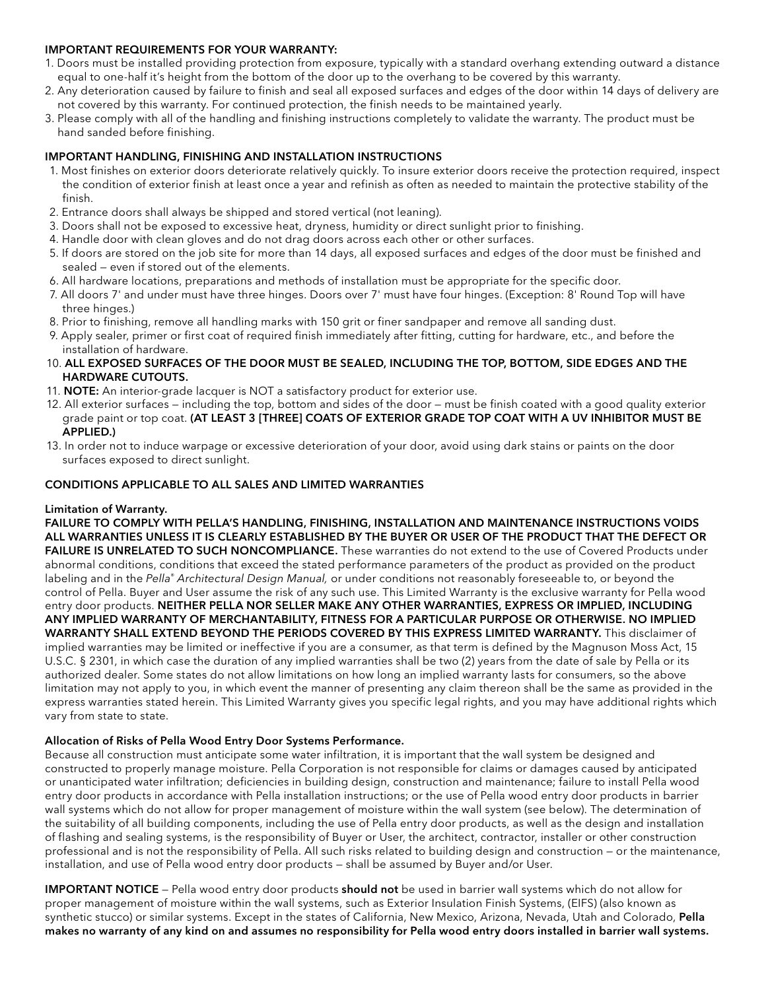### IMPORTANT REQUIREMENTS FOR YOUR WARRANTY:

- 1. Doors must be installed providing protection from exposure, typically with a standard overhang extending outward a distance equal to one-half it's height from the bottom of the door up to the overhang to be covered by this warranty.
- 2. Any deterioration caused by failure to finish and seal all exposed surfaces and edges of the door within 14 days of delivery are not covered by this warranty. For continued protection, the finish needs to be maintained yearly.
- 3. Please comply with all of the handling and finishing instructions completely to validate the warranty. The product must be hand sanded before finishing.

## IMPORTANT HANDLING, FINISHING AND INSTALLATION INSTRUCTIONS

- 1. Most finishes on exterior doors deteriorate relatively quickly. To insure exterior doors receive the protection required, inspect the condition of exterior finish at least once a year and refinish as often as needed to maintain the protective stability of the finish.
- 2. Entrance doors shall always be shipped and stored vertical (not leaning).
- 3. Doors shall not be exposed to excessive heat, dryness, humidity or direct sunlight prior to finishing.
- 4. Handle door with clean gloves and do not drag doors across each other or other surfaces.
- 5. If doors are stored on the job site for more than 14 days, all exposed surfaces and edges of the door must be finished and sealed — even if stored out of the elements.
- 6. All hardware locations, preparations and methods of installation must be appropriate for the specific door.
- 7. All doors 7' and under must have three hinges. Doors over 7' must have four hinges. (Exception: 8' Round Top will have three hinges.)
- 8. Prior to finishing, remove all handling marks with 150 grit or finer sandpaper and remove all sanding dust.
- 9. Apply sealer, primer or first coat of required finish immediately after fitting, cutting for hardware, etc., and before the installation of hardware.
- 10. ALL EXPOSED SURFACES OF THE DOOR MUST BE SEALED, INCLUDING THE TOP, BOTTOM, SIDE EDGES AND THE HARDWARE CUTOUTS.
- 11. NOTE: An interior-grade lacquer is NOT a satisfactory product for exterior use.
- 12. All exterior surfaces including the top, bottom and sides of the door must be finish coated with a good quality exterior grade paint or top coat. (AT LEAST 3 [THREE] COATS OF EXTERIOR GRADE TOP COAT WITH A UV INHIBITOR MUST BE APPLIED.)
- 13. In order not to induce warpage or excessive deterioration of your door, avoid using dark stains or paints on the door surfaces exposed to direct sunlight.

### CONDITIONS APPLICABLE TO ALL SALES AND LIMITED WARRANTIES

### Limitation of Warranty.

FAILURE TO COMPLY WITH PELLA'S HANDLING, FINISHING, INSTALLATION AND MAINTENANCE INSTRUCTIONS VOIDS ALL WARRANTIES UNLESS IT IS CLEARLY ESTABLISHED BY THE BUYER OR USER OF THE PRODUCT THAT THE DEFECT OR FAILURE IS UNRELATED TO SUCH NONCOMPLIANCE. These warranties do not extend to the use of Covered Products under abnormal conditions, conditions that exceed the stated performance parameters of the product as provided on the product labeling and in the *Pella® Architectural Design Manual,* or under conditions not reasonably foreseeable to, or beyond the control of Pella. Buyer and User assume the risk of any such use. This Limited Warranty is the exclusive warranty for Pella wood entry door products. NEITHER PELLA NOR SELLER MAKE ANY OTHER WARRANTIES, EXPRESS OR IMPLIED, INCLUDING ANY IMPLIED WARRANTY OF MERCHANTABILITY, FITNESS FOR A PARTICULAR PURPOSE OR OTHERWISE. NO IMPLIED WARRANTY SHALL EXTEND BEYOND THE PERIODS COVERED BY THIS EXPRESS LIMITED WARRANTY. This disclaimer of implied warranties may be limited or ineffective if you are a consumer, as that term is defined by the Magnuson Moss Act, 15 U.S.C. § 2301, in which case the duration of any implied warranties shall be two (2) years from the date of sale by Pella or its authorized dealer. Some states do not allow limitations on how long an implied warranty lasts for consumers, so the above limitation may not apply to you, in which event the manner of presenting any claim thereon shall be the same as provided in the express warranties stated herein. This Limited Warranty gives you specific legal rights, and you may have additional rights which vary from state to state.

### Allocation of Risks of Pella Wood Entry Door Systems Performance.

Because all construction must anticipate some water infiltration, it is important that the wall system be designed and constructed to properly manage moisture. Pella Corporation is not responsible for claims or damages caused by anticipated or unanticipated water infiltration; deficiencies in building design, construction and maintenance; failure to install Pella wood entry door products in accordance with Pella installation instructions; or the use of Pella wood entry door products in barrier wall systems which do not allow for proper management of moisture within the wall system (see below). The determination of the suitability of all building components, including the use of Pella entry door products, as well as the design and installation of flashing and sealing systems, is the responsibility of Buyer or User, the architect, contractor, installer or other construction professional and is not the responsibility of Pella. All such risks related to building design and construction — or the maintenance, installation, and use of Pella wood entry door products — shall be assumed by Buyer and/or User.

**IMPORTANT NOTICE** – Pella wood entry door products **should not** be used in barrier wall systems which do not allow for proper management of moisture within the wall systems, such as Exterior Insulation Finish Systems, (EIFS) (also known as synthetic stucco) or similar systems. Except in the states of California, New Mexico, Arizona, Nevada, Utah and Colorado, Pella makes no warranty of any kind on and assumes no responsibility for Pella wood entry doors installed in barrier wall systems.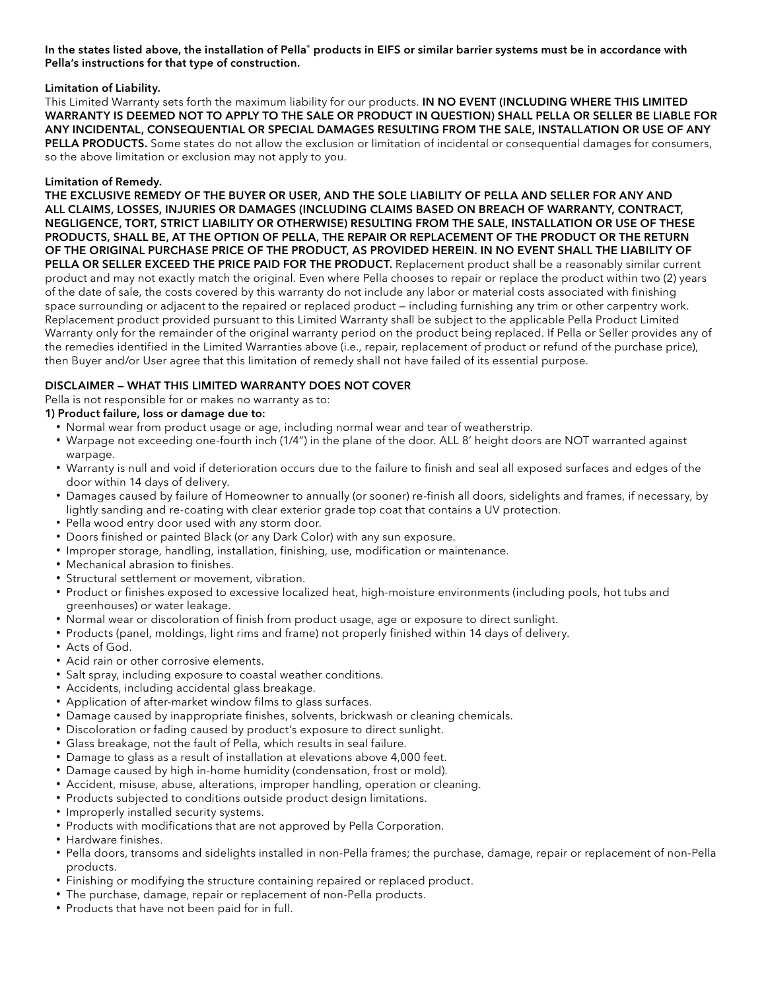In the states listed above, the installation of Pella® products in EIFS or similar barrier systems must be in accordance with Pella's instructions for that type of construction.

### Limitation of Liability.

This Limited Warranty sets forth the maximum liability for our products. IN NO EVENT (INCLUDING WHERE THIS LIMITED WARRANTY IS DEEMED NOT TO APPLY TO THE SALE OR PRODUCT IN QUESTION) SHALL PELLA OR SELLER BE LIABLE FOR ANY INCIDENTAL, CONSEQUENTIAL OR SPECIAL DAMAGES RESULTING FROM THE SALE, INSTALLATION OR USE OF ANY PELLA PRODUCTS. Some states do not allow the exclusion or limitation of incidental or consequential damages for consumers, so the above limitation or exclusion may not apply to you.

### Limitation of Remedy.

THE EXCLUSIVE REMEDY OF THE BUYER OR USER, AND THE SOLE LIABILITY OF PELLA AND SELLER FOR ANY AND ALL CLAIMS, LOSSES, INJURIES OR DAMAGES (INCLUDING CLAIMS BASED ON BREACH OF WARRANTY, CONTRACT, NEGLIGENCE, TORT, STRICT LIABILITY OR OTHERWISE) RESULTING FROM THE SALE, INSTALLATION OR USE OF THESE PRODUCTS, SHALL BE, AT THE OPTION OF PELLA, THE REPAIR OR REPLACEMENT OF THE PRODUCT OR THE RETURN OF THE ORIGINAL PURCHASE PRICE OF THE PRODUCT, AS PROVIDED HEREIN. IN NO EVENT SHALL THE LIABILITY OF PELLA OR SELLER EXCEED THE PRICE PAID FOR THE PRODUCT. Replacement product shall be a reasonably similar current product and may not exactly match the original. Even where Pella chooses to repair or replace the product within two (2) years of the date of sale, the costs covered by this warranty do not include any labor or material costs associated with finishing space surrounding or adjacent to the repaired or replaced product — including furnishing any trim or other carpentry work. Replacement product provided pursuant to this Limited Warranty shall be subject to the applicable Pella Product Limited Warranty only for the remainder of the original warranty period on the product being replaced. If Pella or Seller provides any of the remedies identified in the Limited Warranties above (i.e., repair, replacement of product or refund of the purchase price), then Buyer and/or User agree that this limitation of remedy shall not have failed of its essential purpose.

# DISCLAIMER — WHAT THIS LIMITED WARRANTY DOES NOT COVER

Pella is not responsible for or makes no warranty as to:

# 1) Product failure, loss or damage due to:

- Normal wear from product usage or age, including normal wear and tear of weatherstrip.
- Warpage not exceeding one-fourth inch (1/4") in the plane of the door. ALL 8' height doors are NOT warranted against warpage.
- Warranty is null and void if deterioration occurs due to the failure to finish and seal all exposed surfaces and edges of the door within 14 days of delivery.
- Damages caused by failure of Homeowner to annually (or sooner) re-finish all doors, sidelights and frames, if necessary, by lightly sanding and re-coating with clear exterior grade top coat that contains a UV protection.
- Pella wood entry door used with any storm door.
- Doors finished or painted Black (or any Dark Color) with any sun exposure.
- Improper storage, handling, installation, finishing, use, modification or maintenance.
- Mechanical abrasion to finishes.
- Structural settlement or movement, vibration.
- Product or finishes exposed to excessive localized heat, high-moisture environments (including pools, hot tubs and greenhouses) or water leakage.
- Normal wear or discoloration of finish from product usage, age or exposure to direct sunlight.
- Products (panel, moldings, light rims and frame) not properly finished within 14 days of delivery.
- Acts of God.
- Acid rain or other corrosive elements.
- Salt spray, including exposure to coastal weather conditions.
- Accidents, including accidental glass breakage.
- Application of after-market window films to glass surfaces.
- Damage caused by inappropriate finishes, solvents, brickwash or cleaning chemicals.
- Discoloration or fading caused by product's exposure to direct sunlight.
- Glass breakage, not the fault of Pella, which results in seal failure.
- Damage to glass as a result of installation at elevations above 4,000 feet.
- Damage caused by high in-home humidity (condensation, frost or mold).
- Accident, misuse, abuse, alterations, improper handling, operation or cleaning.
- Products subjected to conditions outside product design limitations.
- Improperly installed security systems.
- Products with modifications that are not approved by Pella Corporation.
- Hardware finishes.
- Pella doors, transoms and sidelights installed in non-Pella frames; the purchase, damage, repair or replacement of non-Pella products.
- Finishing or modifying the structure containing repaired or replaced product.
- The purchase, damage, repair or replacement of non-Pella products.
- Products that have not been paid for in full.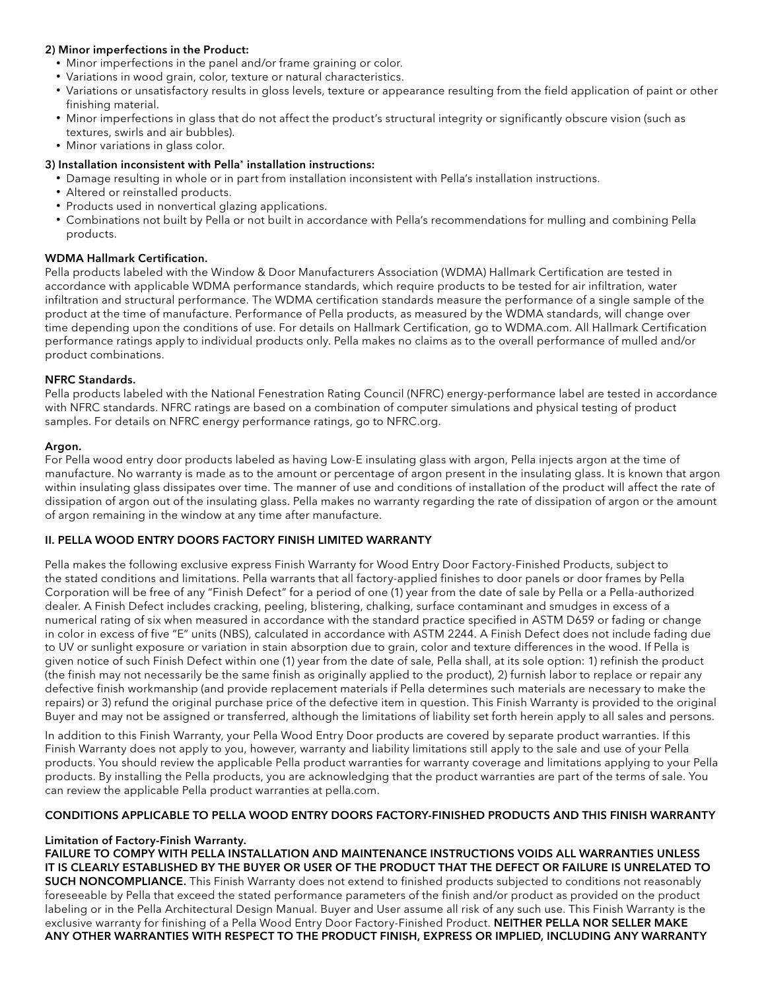## 2) Minor imperfections in the Product:

- Minor imperfections in the panel and/or frame graining or color.
- Variations in wood grain, color, texture or natural characteristics.
- Variations or unsatisfactory results in gloss levels, texture or appearance resulting from the field application of paint or other finishing material.
- Minor imperfections in glass that do not affect the product's structural integrity or significantly obscure vision (such as textures, swirls and air bubbles).
- Minor variations in glass color.

# 3) Installation inconsistent with Pella® installation instructions:

- Damage resulting in whole or in part from installation inconsistent with Pella's installation instructions.
- Altered or reinstalled products.
- Products used in nonvertical glazing applications.
- Combinations not built by Pella or not built in accordance with Pella's recommendations for mulling and combining Pella products.

# WDMA Hallmark Certification.

Pella products labeled with the Window & Door Manufacturers Association (WDMA) Hallmark Certification are tested in accordance with applicable WDMA performance standards, which require products to be tested for air infiltration, water infiltration and structural performance. The WDMA certification standards measure the performance of a single sample of the product at the time of manufacture. Performance of Pella products, as measured by the WDMA standards, will change over time depending upon the conditions of use. For details on Hallmark Certification, go to WDMA.com. All Hallmark Certification performance ratings apply to individual products only. Pella makes no claims as to the overall performance of mulled and/or product combinations.

# NFRC Standards.

Pella products labeled with the National Fenestration Rating Council (NFRC) energy-performance label are tested in accordance with NFRC standards. NFRC ratings are based on a combination of computer simulations and physical testing of product samples. For details on NFRC energy performance ratings, go to NFRC.org.

### Argon.

For Pella wood entry door products labeled as having Low-E insulating glass with argon, Pella injects argon at the time of manufacture. No warranty is made as to the amount or percentage of argon present in the insulating glass. It is known that argon within insulating glass dissipates over time. The manner of use and conditions of installation of the product will affect the rate of dissipation of argon out of the insulating glass. Pella makes no warranty regarding the rate of dissipation of argon or the amount of argon remaining in the window at any time after manufacture.

# II. PELLA WOOD ENTRY DOORS FACTORY FINISH LIMITED WARRANTY

Pella makes the following exclusive express Finish Warranty for Wood Entry Door Factory-Finished Products, subject to the stated conditions and limitations. Pella warrants that all factory-applied finishes to door panels or door frames by Pella Corporation will be free of any "Finish Defect" for a period of one (1) year from the date of sale by Pella or a Pella-authorized dealer. A Finish Defect includes cracking, peeling, blistering, chalking, surface contaminant and smudges in excess of a numerical rating of six when measured in accordance with the standard practice specified in ASTM D659 or fading or change in color in excess of five "E" units (NBS), calculated in accordance with ASTM 2244. A Finish Defect does not include fading due to UV or sunlight exposure or variation in stain absorption due to grain, color and texture differences in the wood. If Pella is given notice of such Finish Defect within one (1) year from the date of sale, Pella shall, at its sole option: 1) refinish the product (the finish may not necessarily be the same finish as originally applied to the product), 2) furnish labor to replace or repair any defective finish workmanship (and provide replacement materials if Pella determines such materials are necessary to make the repairs) or 3) refund the original purchase price of the defective item in question. This Finish Warranty is provided to the original Buyer and may not be assigned or transferred, although the limitations of liability set forth herein apply to all sales and persons.

In addition to this Finish Warranty, your Pella Wood Entry Door products are covered by separate product warranties. If this Finish Warranty does not apply to you, however, warranty and liability limitations still apply to the sale and use of your Pella products. You should review the applicable Pella product warranties for warranty coverage and limitations applying to your Pella products. By installing the Pella products, you are acknowledging that the product warranties are part of the terms of sale. You can review the applicable Pella product warranties at pella.com.

### CONDITIONS APPLICABLE TO PELLA WOOD ENTRY DOORS FACTORY-FINISHED PRODUCTS AND THIS FINISH WARRANTY

### Limitation of Factory-Finish Warranty.

FAILURE TO COMPY WITH PELLA INSTALLATION AND MAINTENANCE INSTRUCTIONS VOIDS ALL WARRANTIES UNLESS IT IS CLEARLY ESTABLISHED BY THE BUYER OR USER OF THE PRODUCT THAT THE DEFECT OR FAILURE IS UNRELATED TO SUCH NONCOMPLIANCE. This Finish Warranty does not extend to finished products subjected to conditions not reasonably foreseeable by Pella that exceed the stated performance parameters of the finish and/or product as provided on the product labeling or in the Pella Architectural Design Manual. Buyer and User assume all risk of any such use. This Finish Warranty is the exclusive warranty for finishing of a Pella Wood Entry Door Factory-Finished Product. NEITHER PELLA NOR SELLER MAKE ANY OTHER WARRANTIES WITH RESPECT TO THE PRODUCT FINISH, EXPRESS OR IMPLIED, INCLUDING ANY WARRANTY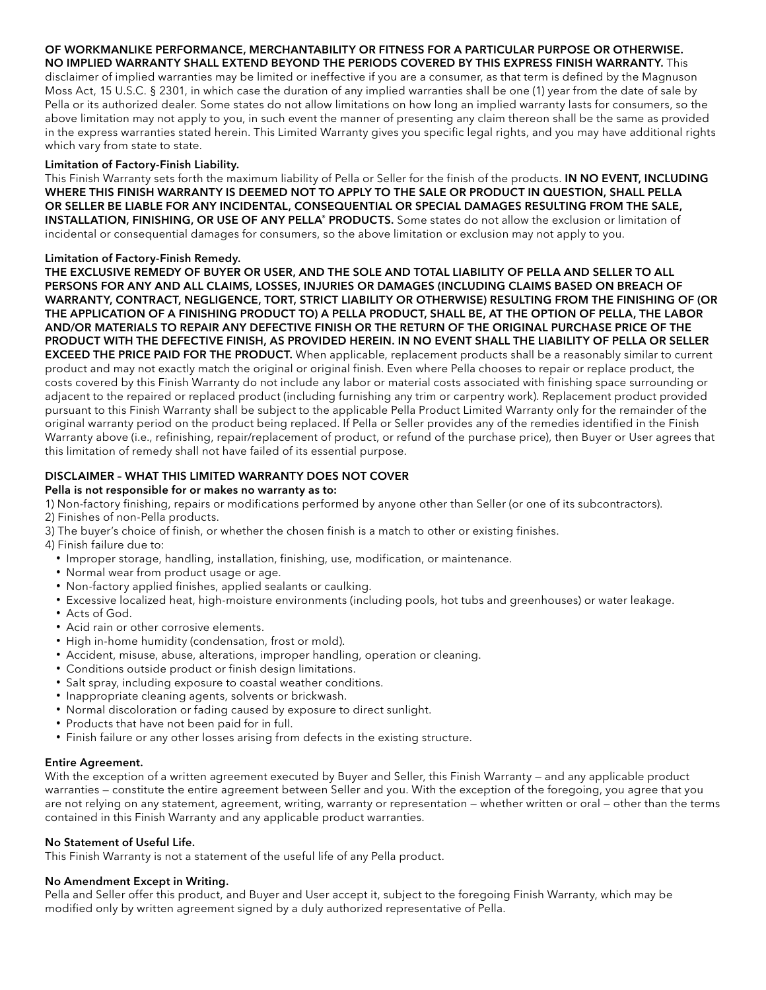#### OF WORKMANLIKE PERFORMANCE, MERCHANTABILITY OR FITNESS FOR A PARTICULAR PURPOSE OR OTHERWISE. NO IMPLIED WARRANTY SHALL EXTEND BEYOND THE PERIODS COVERED BY THIS EXPRESS FINISH WARRANTY. This

disclaimer of implied warranties may be limited or ineffective if you are a consumer, as that term is defined by the Magnuson Moss Act, 15 U.S.C. § 2301, in which case the duration of any implied warranties shall be one (1) year from the date of sale by Pella or its authorized dealer. Some states do not allow limitations on how long an implied warranty lasts for consumers, so the above limitation may not apply to you, in such event the manner of presenting any claim thereon shall be the same as provided in the express warranties stated herein. This Limited Warranty gives you specific legal rights, and you may have additional rights which vary from state to state.

#### Limitation of Factory-Finish Liability.

This Finish Warranty sets forth the maximum liability of Pella or Seller for the finish of the products. IN NO EVENT, INCLUDING WHERE THIS FINISH WARRANTY IS DEEMED NOT TO APPLY TO THE SALE OR PRODUCT IN QUESTION, SHALL PELLA OR SELLER BE LIABLE FOR ANY INCIDENTAL, CONSEQUENTIAL OR SPECIAL DAMAGES RESULTING FROM THE SALE, INSTALLATION, FINISHING, OR USE OF ANY PELLA® PRODUCTS. Some states do not allow the exclusion or limitation of incidental or consequential damages for consumers, so the above limitation or exclusion may not apply to you.

### Limitation of Factory-Finish Remedy.

THE EXCLUSIVE REMEDY OF BUYER OR USER, AND THE SOLE AND TOTAL LIABILITY OF PELLA AND SELLER TO ALL PERSONS FOR ANY AND ALL CLAIMS, LOSSES, INJURIES OR DAMAGES (INCLUDING CLAIMS BASED ON BREACH OF WARRANTY, CONTRACT, NEGLIGENCE, TORT, STRICT LIABILITY OR OTHERWISE) RESULTING FROM THE FINISHING OF (OR THE APPLICATION OF A FINISHING PRODUCT TO) A PELLA PRODUCT, SHALL BE, AT THE OPTION OF PELLA, THE LABOR AND/OR MATERIALS TO REPAIR ANY DEFECTIVE FINISH OR THE RETURN OF THE ORIGINAL PURCHASE PRICE OF THE PRODUCT WITH THE DEFECTIVE FINISH, AS PROVIDED HEREIN. IN NO EVENT SHALL THE LIABILITY OF PELLA OR SELLER **EXCEED THE PRICE PAID FOR THE PRODUCT.** When applicable, replacement products shall be a reasonably similar to current product and may not exactly match the original or original finish. Even where Pella chooses to repair or replace product, the costs covered by this Finish Warranty do not include any labor or material costs associated with finishing space surrounding or adjacent to the repaired or replaced product (including furnishing any trim or carpentry work). Replacement product provided pursuant to this Finish Warranty shall be subject to the applicable Pella Product Limited Warranty only for the remainder of the original warranty period on the product being replaced. If Pella or Seller provides any of the remedies identified in the Finish Warranty above (i.e., refinishing, repair/replacement of product, or refund of the purchase price), then Buyer or User agrees that this limitation of remedy shall not have failed of its essential purpose.

# DISCLAIMER – WHAT THIS LIMITED WARRANTY DOES NOT COVER

#### Pella is not responsible for or makes no warranty as to:

1) Non-factory finishing, repairs or modifications performed by anyone other than Seller (or one of its subcontractors).

- 2) Finishes of non-Pella products.
- 3) The buyer's choice of finish, or whether the chosen finish is a match to other or existing finishes.

4) Finish failure due to:

- Improper storage, handling, installation, finishing, use, modification, or maintenance.
- Normal wear from product usage or age.
- Non-factory applied finishes, applied sealants or caulking.
- Excessive localized heat, high-moisture environments (including pools, hot tubs and greenhouses) or water leakage.
- Acts of God.
- Acid rain or other corrosive elements.
- High in-home humidity (condensation, frost or mold).
- Accident, misuse, abuse, alterations, improper handling, operation or cleaning.
- Conditions outside product or finish design limitations.
- Salt spray, including exposure to coastal weather conditions.
- Inappropriate cleaning agents, solvents or brickwash.
- Normal discoloration or fading caused by exposure to direct sunlight.
- Products that have not been paid for in full.
- Finish failure or any other losses arising from defects in the existing structure.

### Entire Agreement.

With the exception of a written agreement executed by Buyer and Seller, this Finish Warranty — and any applicable product warranties — constitute the entire agreement between Seller and you. With the exception of the foregoing, you agree that you are not relying on any statement, agreement, writing, warranty or representation — whether written or oral — other than the terms contained in this Finish Warranty and any applicable product warranties.

#### No Statement of Useful Life.

This Finish Warranty is not a statement of the useful life of any Pella product.

#### No Amendment Except in Writing.

Pella and Seller offer this product, and Buyer and User accept it, subject to the foregoing Finish Warranty, which may be modified only by written agreement signed by a duly authorized representative of Pella.